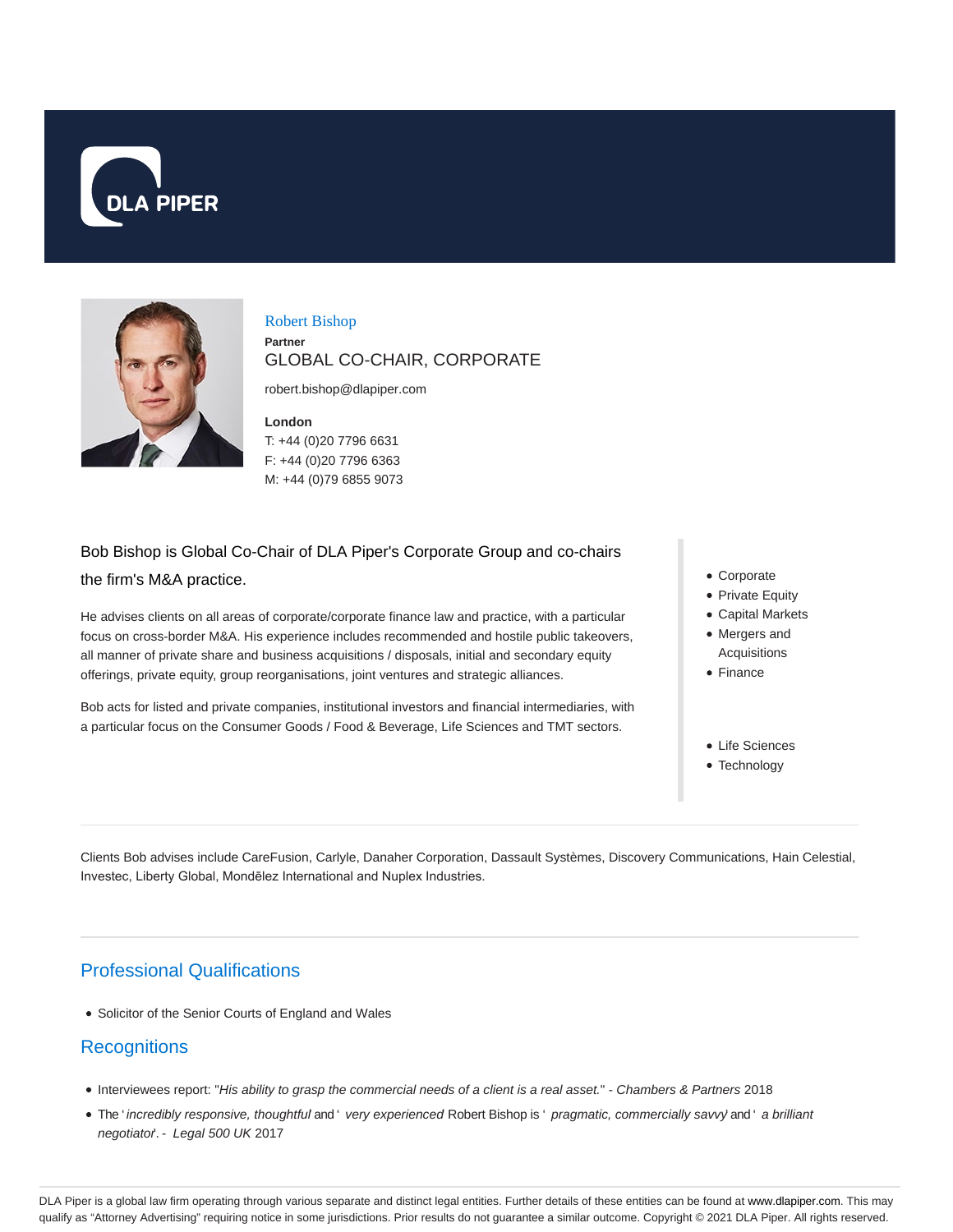



#### Robert Bishop **Partner** GLOBAL CO-CHAIR, CORPORATE

robert.bishop@dlapiper.com

**London** T: +44 (0)20 7796 6631

F: +44 (0)20 7796 6363 M: +44 (0)79 6855 9073

# Bob Bishop is Global Co-Chair of DLA Piper's Corporate Group and co-chairs the firm's M&A practice.

He advises clients on all areas of corporate/corporate finance law and practice, with a particular focus on cross-border M&A. His experience includes recommended and hostile public takeovers, all manner of private share and business acquisitions / disposals, initial and secondary equity offerings, private equity, group reorganisations, joint ventures and strategic alliances.

Bob acts for listed and private companies, institutional investors and financial intermediaries, with a particular focus on the Consumer Goods / Food & Beverage, Life Sciences and TMT sectors.

- Corporate
- Private Equity
- Capital Markets • Mergers and
- Acquisitions
- Finance
- Life Sciences
- Technology

Clients Bob advises include CareFusion, Carlyle, Danaher Corporation, Dassault Systèmes, Discovery Communications, Hain Celestial, Investec, Liberty Global, Mondēlez International and Nuplex Industries.

# Professional Qualifications

Solicitor of the Senior Courts of England and Wales

### **Recognitions**

- Interviewees report: "His ability to grasp the commercial needs of a client is a real asset." Chambers & Partners 2018
- . The ' incredibly responsive, thoughtful and ' very experienced Robert Bishop is ' pragmatic, commercially savvy' and ' a brilliant negotiator. - Legal 500 UK 2017

DLA Piper is a global law firm operating through various separate and distinct legal entities. Further details of these entities can be found at www.dlapiper.com. This may qualify as "Attorney Advertising" requiring notice in some jurisdictions. Prior results do not guarantee a similar outcome. Copyright @ 2021 DLA Piper. All rights reserved.